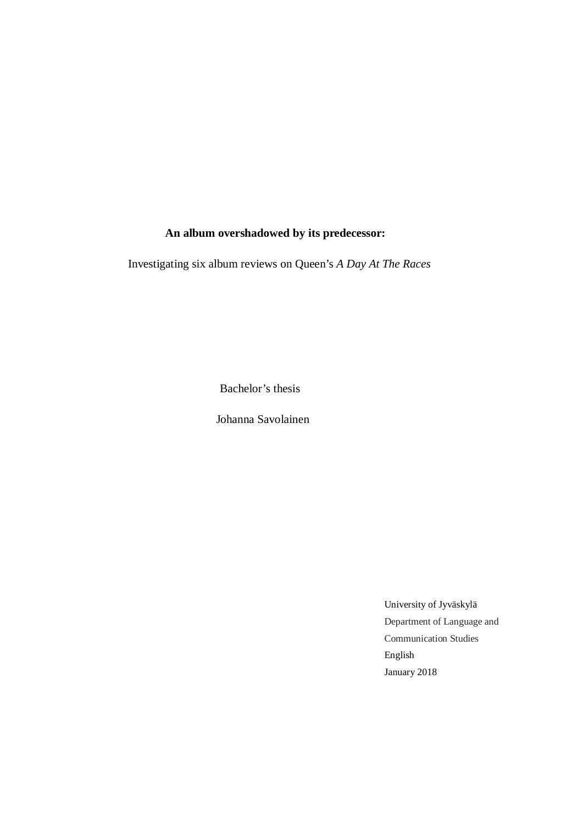# **An album overshadowed by its predecessor:**

Investigating six album reviews on Queen's *A Day At The Races*

Bachelor's thesis

Johanna Savolainen

University of Jyväskylä Department of Language and Communication Studies English January 2018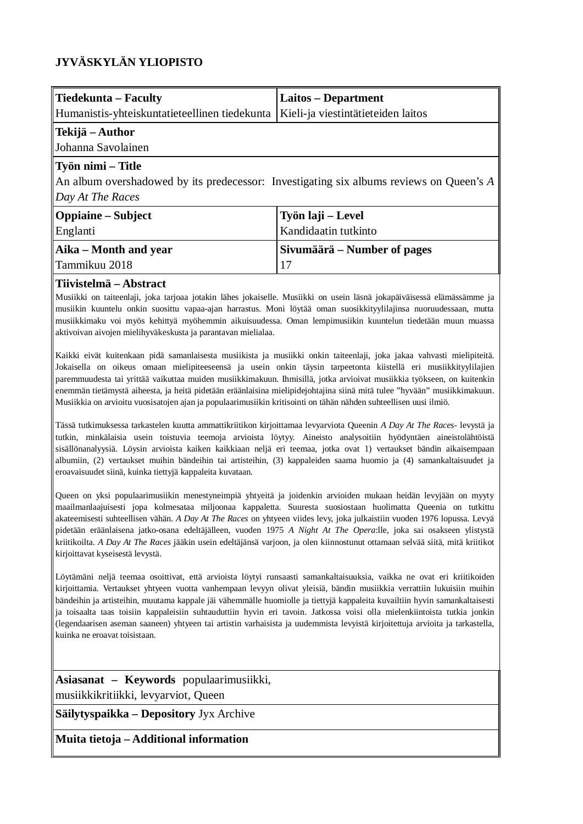# **JYVÄSKYLÄN YLIOPISTO**

| Tiedekunta – Faculty                                                                                         | Laitos – Department                |
|--------------------------------------------------------------------------------------------------------------|------------------------------------|
| Humanistis-yhteiskuntatieteellinen tiedekunta                                                                | Kieli-ja viestintätieteiden laitos |
| Tekijä – Author                                                                                              |                                    |
| Johanna Savolainen                                                                                           |                                    |
| Työn nimi – Title<br>An album overshadowed by its predecessor: Investigating six albums reviews on Queen's A |                                    |
| Day At The Races                                                                                             |                                    |
| <b>Oppiaine</b> – Subject                                                                                    | Työn laji – Level                  |
| Englanti                                                                                                     | Kandidaatin tutkinto               |
| Aika – Month and year                                                                                        | Sivumäärä – Number of pages        |
| Tammikuu 2018                                                                                                | 17                                 |

# **Tiivistelmä – Abstract**

Musiikki on taiteenlaji, joka tarjoaa jotakin lähes jokaiselle. Musiikki on usein läsnä jokapäiväisessä elämässämme ja musiikin kuuntelu onkin suosittu vapaa-ajan harrastus. Moni löytää oman suosikkityylilajinsa nuoruudessaan, mutta musiikkimaku voi myös kehittyä myöhemmin aikuisuudessa. Oman lempimusiikin kuuntelun tiedetään muun muassa aktivoivan aivojen mielihyväkeskusta ja parantavan mielialaa.

Kaikki eivät kuitenkaan pidä samanlaisesta musiikista ja musiikki onkin taiteenlaji, joka jakaa vahvasti mielipiteitä. Jokaisella on oikeus omaan mielipiteeseensä ja usein onkin täysin tarpeetonta kiistellä eri musiikkityylilajien paremmuudesta tai yrittää vaikuttaa muiden musiikkimakuun. Ihmisillä, jotka arvioivat musiikkia työkseen, on kuitenkin enemmän tietämystä aiheesta, ja heitä pidetään eräänlaisina mielipidejohtajina siinä mitä tulee "hyvään" musiikkimakuun. Musiikkia on arvioitu vuosisatojen ajan ja populaarimusiikin kritisointi on tähän nähden suhteellisen uusi ilmiö.

Tässä tutkimuksessa tarkastelen kuutta ammattikriitikon kirjoittamaa levyarviota Queenin *A Day At The Races-* levystä ja tutkin, minkälaisia usein toistuvia teemoja arvioista löytyy. Aineisto analysoitiin hyödyntäen aineistolähtöistä sisällönanalyysiä. Löysin arvioista kaiken kaikkiaan neljä eri teemaa, jotka ovat 1) vertaukset bändin aikaisempaan albumiin, (2) vertaukset muihin bändeihin tai artisteihin, (3) kappaleiden saama huomio ja (4) samankaltaisuudet ja eroavaisuudet siinä, kuinka tiettyjä kappaleita kuvataan.

Queen on yksi populaarimusiikin menestyneimpiä yhtyeitä ja joidenkin arvioiden mukaan heidän levyjään on myyty maailmanlaajuisesti jopa kolmesataa miljoonaa kappaletta. Suuresta suosiostaan huolimatta Queenia on tutkittu akateemisesti suhteellisen vähän. *A Day At The Races* on yhtyeen viides levy, joka julkaistiin vuoden 1976 lopussa. Levyä pidetään eräänlaisena jatko-osana edeltäjälleen, vuoden 1975 *A Night At The Opera*:lle, joka sai osakseen ylistystä kriitikoilta. *A Day At The Races* jääkin usein edeltäjänsä varjoon, ja olen kiinnostunut ottamaan selvää siitä, mitä kriitikot kirjoittavat kyseisestä levystä.

Löytämäni neljä teemaa osoittivat, että arvioista löytyi runsaasti samankaltaisuuksia, vaikka ne ovat eri kriitikoiden kirjoittamia. Vertaukset yhtyeen vuotta vanhempaan levyyn olivat yleisiä, bändin musiikkia verrattiin lukuisiin muihin bändeihin ja artisteihin, muutama kappale jäi vähemmälle huomiolle ja tiettyjä kappaleita kuvailtiin hyvin samankaltaisesti ja toisaalta taas toisiin kappaleisiin suhtauduttiin hyvin eri tavoin. Jatkossa voisi olla mielenkiintoista tutkia jonkin (legendaarisen aseman saaneen) yhtyeen tai artistin varhaisista ja uudemmista levyistä kirjoitettuja arvioita ja tarkastella, kuinka ne eroavat toisistaan.

**Asiasanat – Keywords** populaarimusiikki, musiikkikritiikki, levyarviot, Queen

**Säilytyspaikka – Depository** Jyx Archive

**Muita tietoja – Additional information**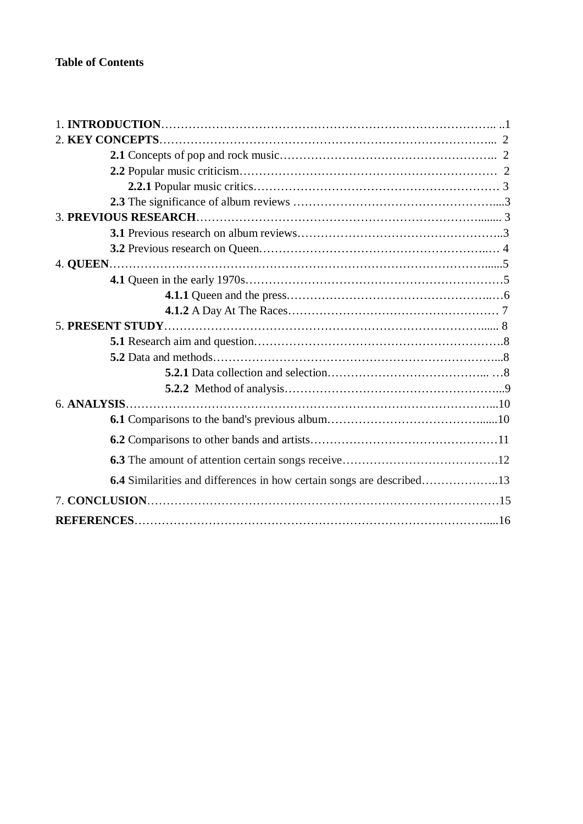| 6.4 Similarities and differences in how certain songs are described13 |
|-----------------------------------------------------------------------|
|                                                                       |
|                                                                       |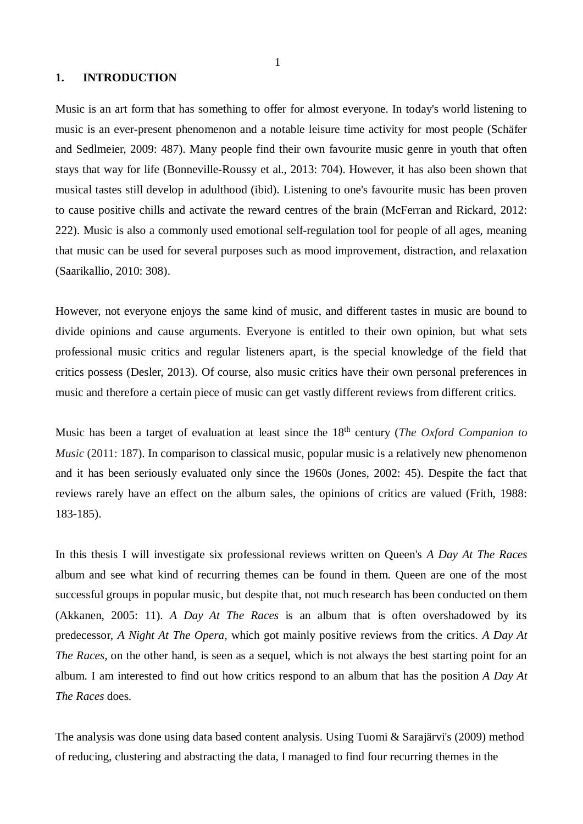#### **1. INTRODUCTION**

Music is an art form that has something to offer for almost everyone. In today's world listening to music is an ever-present phenomenon and a notable leisure time activity for most people (Schäfer and Sedlmeier, 2009: 487). Many people find their own favourite music genre in youth that often stays that way for life (Bonneville-Roussy et al., 2013: 704). However, it has also been shown that musical tastes still develop in adulthood (ibid). Listening to one's favourite music has been proven to cause positive chills and activate the reward centres of the brain (McFerran and Rickard, 2012: 222). Music is also a commonly used emotional self-regulation tool for people of all ages, meaning that music can be used for several purposes such as mood improvement, distraction, and relaxation (Saarikallio, 2010: 308).

However, not everyone enjoys the same kind of music, and different tastes in music are bound to divide opinions and cause arguments. Everyone is entitled to their own opinion, but what sets professional music critics and regular listeners apart, is the special knowledge of the field that critics possess (Desler, 2013). Of course, also music critics have their own personal preferences in music and therefore a certain piece of music can get vastly different reviews from different critics.

Music has been a target of evaluation at least since the 18<sup>th</sup> century (*The Oxford Companion to Music* (2011: 187). In comparison to classical music, popular music is a relatively new phenomenon and it has been seriously evaluated only since the 1960s (Jones, 2002: 45). Despite the fact that reviews rarely have an effect on the album sales, the opinions of critics are valued (Frith, 1988: 183-185).

In this thesis I will investigate six professional reviews written on Queen's *A Day At The Races* album and see what kind of recurring themes can be found in them. Queen are one of the most successful groups in popular music, but despite that, not much research has been conducted on them (Akkanen, 2005: 11). *A Day At The Races* is an album that is often overshadowed by its predecessor, *A Night At The Opera*, which got mainly positive reviews from the critics. *A Day At The Races*, on the other hand, is seen as a sequel, which is not always the best starting point for an album. I am interested to find out how critics respond to an album that has the position *A Day At The Races* does.

The analysis was done using data based content analysis. Using Tuomi & Sarajärvi's (2009) method of reducing, clustering and abstracting the data, I managed to find four recurring themes in the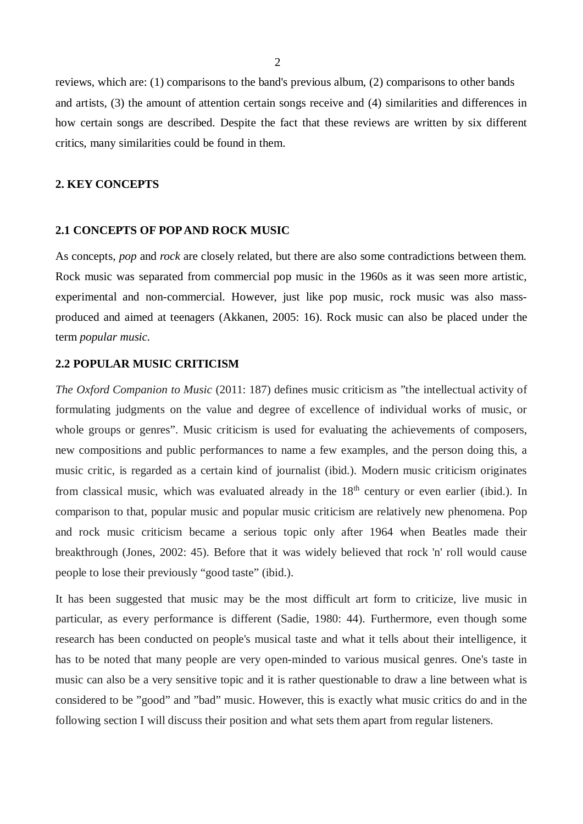reviews, which are: (1) comparisons to the band's previous album, (2) comparisons to other bands and artists, (3) the amount of attention certain songs receive and (4) similarities and differences in how certain songs are described. Despite the fact that these reviews are written by six different critics, many similarities could be found in them.

### **2. KEY CONCEPTS**

# **2.1 CONCEPTS OF POP AND ROCK MUSIC**

As concepts, *pop* and *rock* are closely related, but there are also some contradictions between them. Rock music was separated from commercial pop music in the 1960s as it was seen more artistic, experimental and non-commercial. However, just like pop music, rock music was also massproduced and aimed at teenagers (Akkanen, 2005: 16). Rock music can also be placed under the term *popular music.*

# **2.2 POPULAR MUSIC CRITICISM**

*The Oxford Companion to Music* (2011: 187) defines music criticism as "the intellectual activity of formulating judgments on the value and degree of excellence of individual works of music, or whole groups or genres". Music criticism is used for evaluating the achievements of composers, new compositions and public performances to name a few examples, and the person doing this, a music critic, is regarded as a certain kind of journalist (ibid.). Modern music criticism originates from classical music, which was evaluated already in the  $18<sup>th</sup>$  century or even earlier (ibid.). In comparison to that, popular music and popular music criticism are relatively new phenomena. Pop and rock music criticism became a serious topic only after 1964 when Beatles made their breakthrough (Jones, 2002: 45). Before that it was widely believed that rock 'n' roll would cause people to lose their previously "good taste" (ibid.).

It has been suggested that music may be the most difficult art form to criticize, live music in particular, as every performance is different (Sadie, 1980: 44). Furthermore, even though some research has been conducted on people's musical taste and what it tells about their intelligence, it has to be noted that many people are very open-minded to various musical genres. One's taste in music can also be a very sensitive topic and it is rather questionable to draw a line between what is considered to be "good" and "bad" music. However, this is exactly what music critics do and in the following section I will discuss their position and what sets them apart from regular listeners.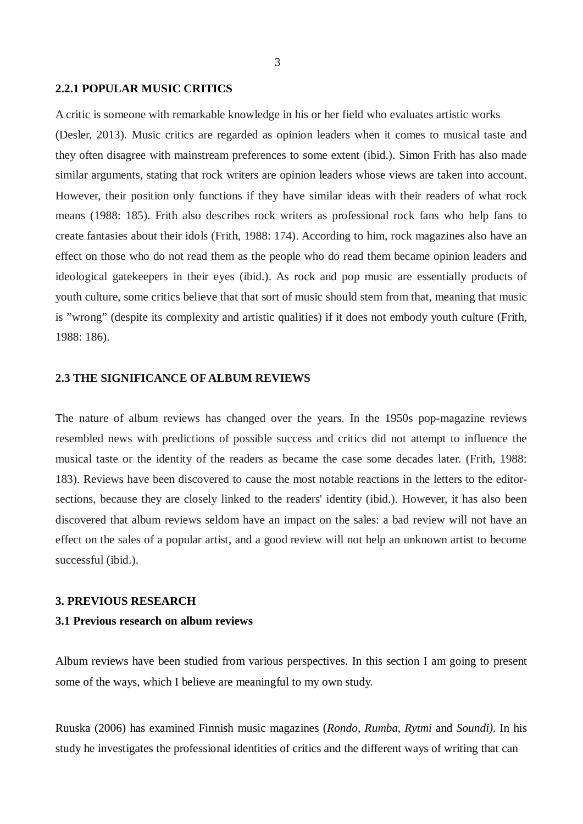#### **2.2.1 POPULAR MUSIC CRITICS**

A critic is someone with remarkable knowledge in his or her field who evaluates artistic works (Desler, 2013). Music critics are regarded as opinion leaders when it comes to musical taste and they often disagree with mainstream preferences to some extent (ibid.). Simon Frith has also made similar arguments, stating that rock writers are opinion leaders whose views are taken into account. However, their position only functions if they have similar ideas with their readers of what rock means (1988: 185). Frith also describes rock writers as professional rock fans who help fans to create fantasies about their idols (Frith, 1988: 174). According to him, rock magazines also have an effect on those who do not read them as the people who do read them became opinion leaders and ideological gatekeepers in their eyes (ibid.). As rock and pop music are essentially products of youth culture, some critics believe that that sort of music should stem from that, meaning that music is "wrong" (despite its complexity and artistic qualities) if it does not embody youth culture (Frith, 1988: 186).

# **2.3 THE SIGNIFICANCE OF ALBUM REVIEWS**

The nature of album reviews has changed over the years. In the 1950s pop-magazine reviews resembled news with predictions of possible success and critics did not attempt to influence the musical taste or the identity of the readers as became the case some decades later. (Frith, 1988: 183). Reviews have been discovered to cause the most notable reactions in the letters to the editorsections, because they are closely linked to the readers' identity (ibid.). However, it has also been discovered that album reviews seldom have an impact on the sales: a bad review will not have an effect on the sales of a popular artist, and a good review will not help an unknown artist to become successful (ibid.).

#### **3. PREVIOUS RESEARCH**

### **3.1 Previous research on album reviews**

Album reviews have been studied from various perspectives. In this section I am going to present some of the ways, which I believe are meaningful to my own study.

Ruuska (2006) has examined Finnish music magazines (*Rondo, Rumba, Rytmi* and *Soundi).* In his study he investigates the professional identities of critics and the different ways of writing that can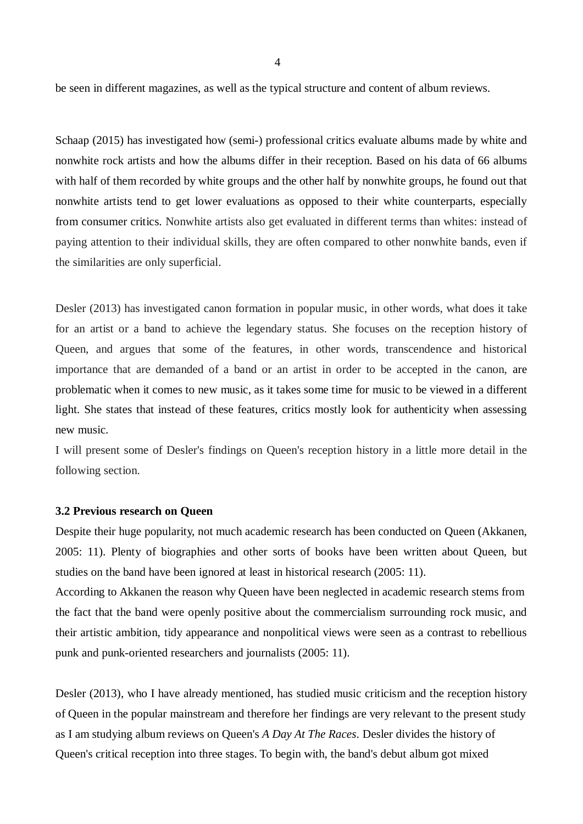be seen in different magazines, as well as the typical structure and content of album reviews.

Schaap (2015) has investigated how (semi-) professional critics evaluate albums made by white and nonwhite rock artists and how the albums differ in their reception. Based on his data of 66 albums with half of them recorded by white groups and the other half by nonwhite groups, he found out that nonwhite artists tend to get lower evaluations as opposed to their white counterparts, especially from consumer critics. Nonwhite artists also get evaluated in different terms than whites: instead of paying attention to their individual skills, they are often compared to other nonwhite bands, even if the similarities are only superficial.

Desler (2013) has investigated canon formation in popular music, in other words, what does it take for an artist or a band to achieve the legendary status. She focuses on the reception history of Queen, and argues that some of the features, in other words, transcendence and historical importance that are demanded of a band or an artist in order to be accepted in the canon, are problematic when it comes to new music, as it takes some time for music to be viewed in a different light. She states that instead of these features, critics mostly look for authenticity when assessing new music.

I will present some of Desler's findings on Queen's reception history in a little more detail in the following section.

#### **3.2 Previous research on Queen**

Despite their huge popularity, not much academic research has been conducted on Queen (Akkanen, 2005: 11). Plenty of biographies and other sorts of books have been written about Queen, but studies on the band have been ignored at least in historical research (2005: 11).

According to Akkanen the reason why Queen have been neglected in academic research stems from the fact that the band were openly positive about the commercialism surrounding rock music, and their artistic ambition, tidy appearance and nonpolitical views were seen as a contrast to rebellious punk and punk-oriented researchers and journalists (2005: 11).

Desler (2013), who I have already mentioned, has studied music criticism and the reception history of Queen in the popular mainstream and therefore her findings are very relevant to the present study as I am studying album reviews on Queen's *A Day At The Races*. Desler divides the history of Queen's critical reception into three stages. To begin with, the band's debut album got mixed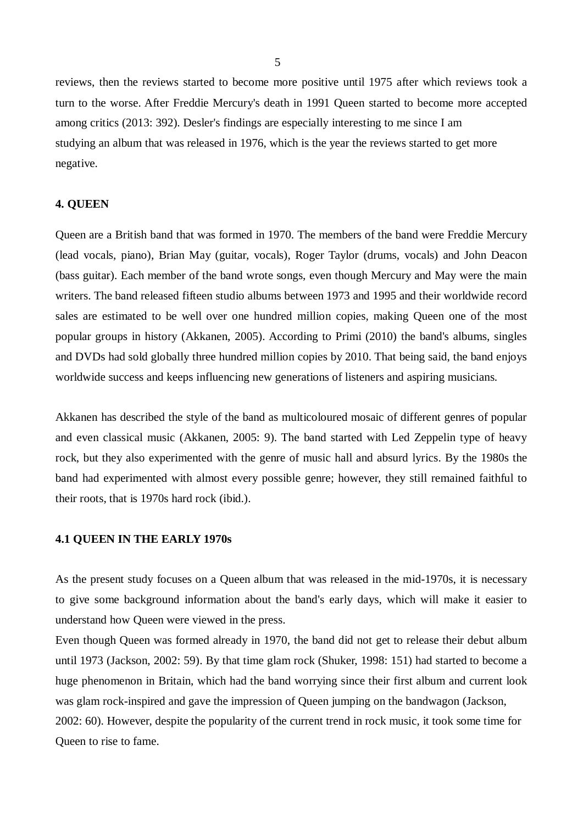reviews, then the reviews started to become more positive until 1975 after which reviews took a turn to the worse. After Freddie Mercury's death in 1991 Queen started to become more accepted among critics (2013: 392). Desler's findings are especially interesting to me since I am studying an album that was released in 1976, which is the year the reviews started to get more negative.

### **4. QUEEN**

Queen are a British band that was formed in 1970. The members of the band were Freddie Mercury (lead vocals, piano), Brian May (guitar, vocals), Roger Taylor (drums, vocals) and John Deacon (bass guitar). Each member of the band wrote songs, even though Mercury and May were the main writers. The band released fifteen studio albums between 1973 and 1995 and their worldwide record sales are estimated to be well over one hundred million copies, making Queen one of the most popular groups in history (Akkanen, 2005). According to Primi (2010) the band's albums, singles and DVDs had sold globally three hundred million copies by 2010. That being said, the band enjoys worldwide success and keeps influencing new generations of listeners and aspiring musicians.

Akkanen has described the style of the band as multicoloured mosaic of different genres of popular and even classical music (Akkanen, 2005: 9). The band started with Led Zeppelin type of heavy rock, but they also experimented with the genre of music hall and absurd lyrics. By the 1980s the band had experimented with almost every possible genre; however, they still remained faithful to their roots, that is 1970s hard rock (ibid.).

#### **4.1 QUEEN IN THE EARLY 1970s**

As the present study focuses on a Queen album that was released in the mid-1970s, it is necessary to give some background information about the band's early days, which will make it easier to understand how Queen were viewed in the press.

Even though Queen was formed already in 1970, the band did not get to release their debut album until 1973 (Jackson, 2002: 59). By that time glam rock (Shuker, 1998: 151) had started to become a huge phenomenon in Britain, which had the band worrying since their first album and current look was glam rock-inspired and gave the impression of Queen jumping on the bandwagon (Jackson, 2002: 60). However, despite the popularity of the current trend in rock music, it took some time for Queen to rise to fame.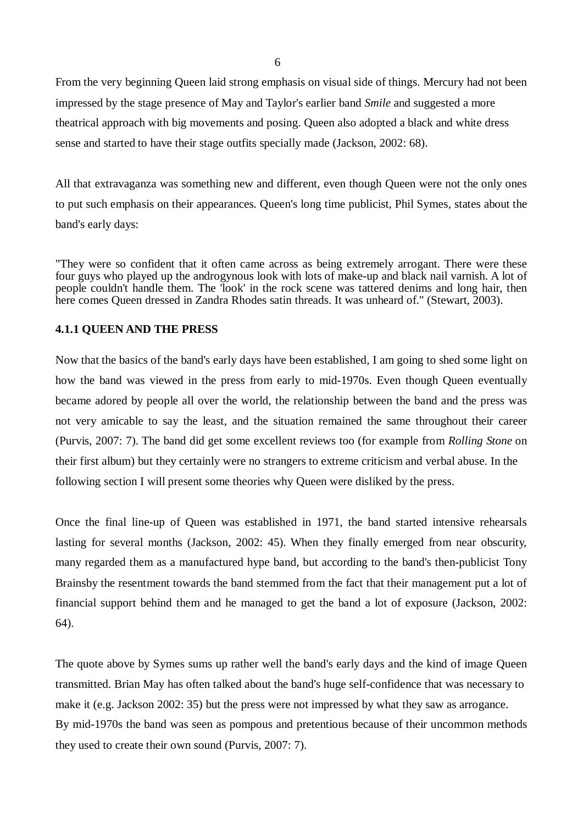From the very beginning Queen laid strong emphasis on visual side of things. Mercury had not been impressed by the stage presence of May and Taylor's earlier band *Smile* and suggested a more theatrical approach with big movements and posing. Queen also adopted a black and white dress sense and started to have their stage outfits specially made (Jackson, 2002: 68).

All that extravaganza was something new and different, even though Queen were not the only ones to put such emphasis on their appearances. Queen's long time publicist, Phil Symes, states about the band's early days:

"They were so confident that it often came across as being extremely arrogant. There were these four guys who played up the androgynous look with lots of make-up and black nail varnish. A lot of people couldn't handle them. The 'look' in the rock scene was tattered denims and long hair, then here comes Queen dressed in Zandra Rhodes satin threads. It was unheard of." (Stewart, 2003).

## **4.1.1 QUEEN AND THE PRESS**

Now that the basics of the band's early days have been established, I am going to shed some light on how the band was viewed in the press from early to mid-1970s. Even though Queen eventually became adored by people all over the world, the relationship between the band and the press was not very amicable to say the least, and the situation remained the same throughout their career (Purvis, 2007: 7). The band did get some excellent reviews too (for example from *Rolling Stone* on their first album) but they certainly were no strangers to extreme criticism and verbal abuse. In the following section I will present some theories why Queen were disliked by the press.

Once the final line-up of Queen was established in 1971, the band started intensive rehearsals lasting for several months (Jackson, 2002: 45). When they finally emerged from near obscurity, many regarded them as a manufactured hype band, but according to the band's then-publicist Tony Brainsby the resentment towards the band stemmed from the fact that their management put a lot of financial support behind them and he managed to get the band a lot of exposure (Jackson, 2002: 64).

The quote above by Symes sums up rather well the band's early days and the kind of image Queen transmitted. Brian May has often talked about the band's huge self-confidence that was necessary to make it (e.g. Jackson 2002: 35) but the press were not impressed by what they saw as arrogance. By mid-1970s the band was seen as pompous and pretentious because of their uncommon methods they used to create their own sound (Purvis, 2007: 7).

6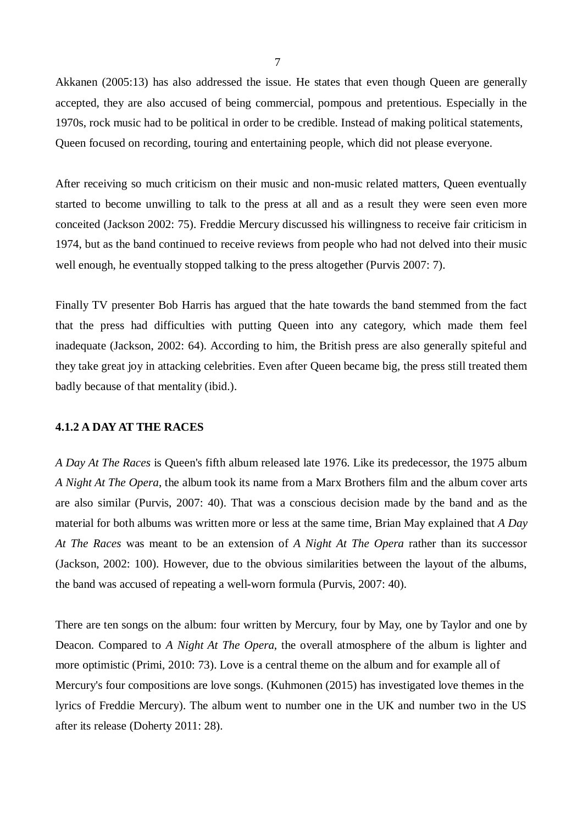Akkanen (2005:13) has also addressed the issue. He states that even though Queen are generally accepted, they are also accused of being commercial, pompous and pretentious. Especially in the 1970s, rock music had to be political in order to be credible. Instead of making political statements, Queen focused on recording, touring and entertaining people, which did not please everyone.

After receiving so much criticism on their music and non-music related matters, Queen eventually started to become unwilling to talk to the press at all and as a result they were seen even more conceited (Jackson 2002: 75). Freddie Mercury discussed his willingness to receive fair criticism in 1974, but as the band continued to receive reviews from people who had not delved into their music well enough, he eventually stopped talking to the press altogether (Purvis 2007: 7).

Finally TV presenter Bob Harris has argued that the hate towards the band stemmed from the fact that the press had difficulties with putting Queen into any category, which made them feel inadequate (Jackson, 2002: 64). According to him, the British press are also generally spiteful and they take great joy in attacking celebrities. Even after Queen became big, the press still treated them badly because of that mentality (ibid.).

# **4.1.2 A DAY AT THE RACES**

*A Day At The Races* is Queen's fifth album released late 1976. Like its predecessor, the 1975 album *A Night At The Opera*, the album took its name from a Marx Brothers film and the album cover arts are also similar (Purvis, 2007: 40). That was a conscious decision made by the band and as the material for both albums was written more or less at the same time, Brian May explained that *A Day At The Races* was meant to be an extension of *A Night At The Opera* rather than its successor (Jackson, 2002: 100). However, due to the obvious similarities between the layout of the albums, the band was accused of repeating a well-worn formula (Purvis, 2007: 40).

There are ten songs on the album: four written by Mercury, four by May, one by Taylor and one by Deacon. Compared to *A Night At The Opera*, the overall atmosphere of the album is lighter and more optimistic (Primi, 2010: 73). Love is a central theme on the album and for example all of Mercury's four compositions are love songs. (Kuhmonen (2015) has investigated love themes in the lyrics of Freddie Mercury). The album went to number one in the UK and number two in the US after its release (Doherty 2011: 28).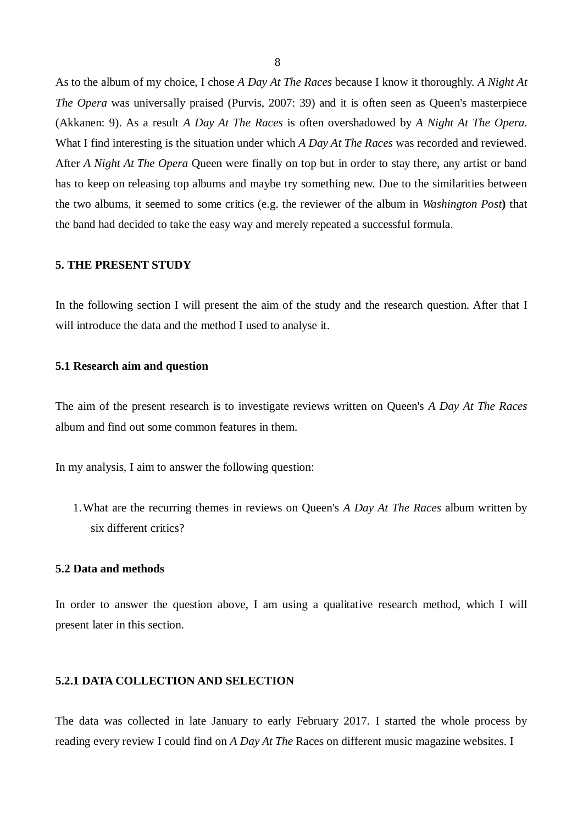As to the album of my choice, I chose *A Day At The Races* because I know it thoroughly. *A Night At The Opera* was universally praised (Purvis, 2007: 39) and it is often seen as Oueen's masterpiece (Akkanen: 9). As a result *A Day At The Races* is often overshadowed by *A Night At The Opera.* What I find interesting is the situation under which *A Day At The Races* was recorded and reviewed. After *A Night At The Opera* Queen were finally on top but in order to stay there, any artist or band has to keep on releasing top albums and maybe try something new. Due to the similarities between the two albums, it seemed to some critics (e.g. the reviewer of the album in *Washington Post***)** that the band had decided to take the easy way and merely repeated a successful formula.

## **5. THE PRESENT STUDY**

In the following section I will present the aim of the study and the research question. After that I will introduce the data and the method I used to analyse it.

#### **5.1 Research aim and question**

The aim of the present research is to investigate reviews written on Queen's *A Day At The Races* album and find out some common features in them.

In my analysis, I aim to answer the following question:

1.What are the recurring themes in reviews on Queen's *A Day At The Races* album written by six different critics?

#### **5.2 Data and methods**

In order to answer the question above, I am using a qualitative research method, which I will present later in this section.

# **5.2.1 DATA COLLECTION AND SELECTION**

The data was collected in late January to early February 2017. I started the whole process by reading every review I could find on *A Day At The* Races on different music magazine websites. I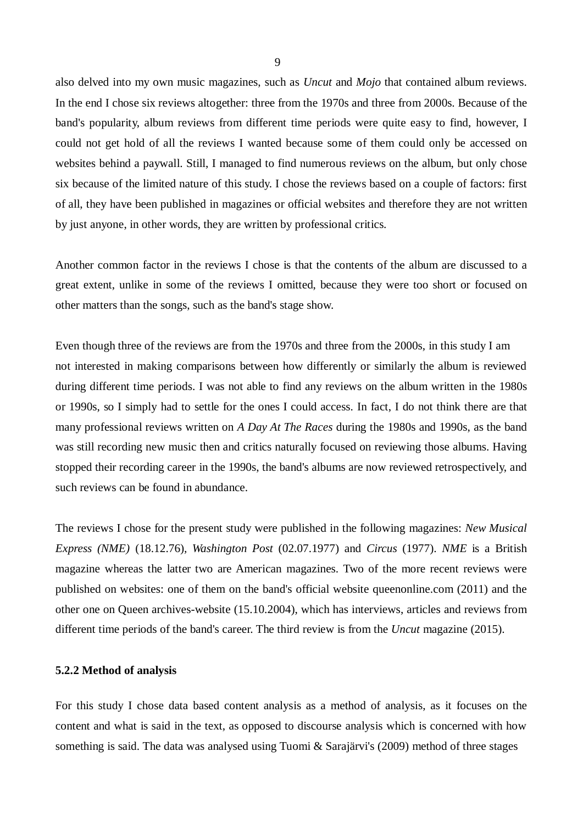also delved into my own music magazines, such as *Uncut* and *Mojo* that contained album reviews. In the end I chose six reviews altogether: three from the 1970s and three from 2000s. Because of the band's popularity, album reviews from different time periods were quite easy to find, however, I could not get hold of all the reviews I wanted because some of them could only be accessed on websites behind a paywall. Still, I managed to find numerous reviews on the album, but only chose six because of the limited nature of this study. I chose the reviews based on a couple of factors: first of all, they have been published in magazines or official websites and therefore they are not written by just anyone, in other words, they are written by professional critics.

Another common factor in the reviews I chose is that the contents of the album are discussed to a great extent, unlike in some of the reviews I omitted, because they were too short or focused on other matters than the songs, such as the band's stage show.

Even though three of the reviews are from the 1970s and three from the 2000s, in this study I am not interested in making comparisons between how differently or similarly the album is reviewed during different time periods. I was not able to find any reviews on the album written in the 1980s or 1990s, so I simply had to settle for the ones I could access. In fact, I do not think there are that many professional reviews written on *A Day At The Races* during the 1980s and 1990s, as the band was still recording new music then and critics naturally focused on reviewing those albums. Having stopped their recording career in the 1990s, the band's albums are now reviewed retrospectively, and such reviews can be found in abundance.

The reviews I chose for the present study were published in the following magazines: *New Musical Express (NME)* (18.12.76)*, Washington Post* (02.07.1977) and *Circus* (1977). *NME* is a British magazine whereas the latter two are American magazines. Two of the more recent reviews were published on websites: one of them on the band's official website queenonline.com (2011) and the other one on Queen archives-website (15.10.2004), which has interviews, articles and reviews from different time periods of the band's career. The third review is from the *Uncut* magazine (2015).

#### **5.2.2 Method of analysis**

For this study I chose data based content analysis as a method of analysis, as it focuses on the content and what is said in the text, as opposed to discourse analysis which is concerned with how something is said. The data was analysed using Tuomi & Sarajärvi's (2009) method of three stages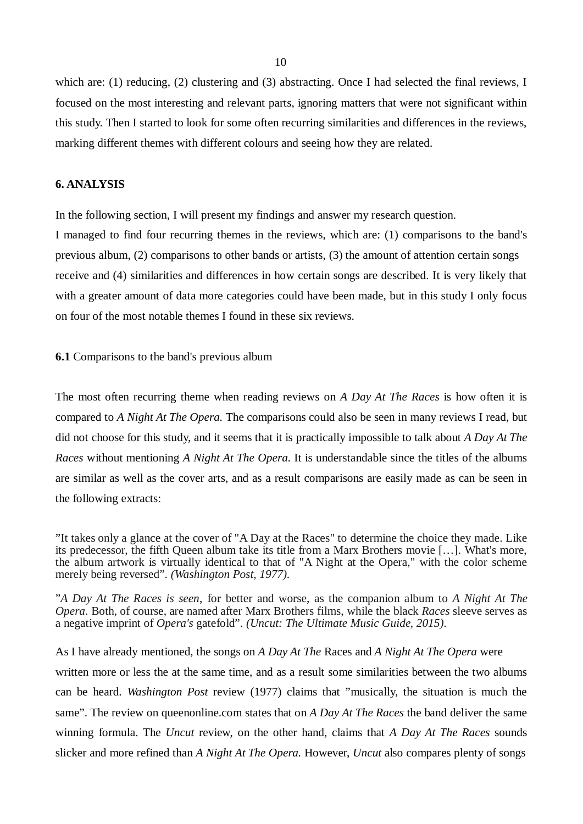which are: (1) reducing, (2) clustering and (3) abstracting. Once I had selected the final reviews, I focused on the most interesting and relevant parts, ignoring matters that were not significant within this study. Then I started to look for some often recurring similarities and differences in the reviews, marking different themes with different colours and seeing how they are related.

## **6. ANALYSIS**

In the following section, I will present my findings and answer my research question.

I managed to find four recurring themes in the reviews, which are: (1) comparisons to the band's previous album, (2) comparisons to other bands or artists, (3) the amount of attention certain songs receive and (4) similarities and differences in how certain songs are described. It is very likely that with a greater amount of data more categories could have been made, but in this study I only focus on four of the most notable themes I found in these six reviews.

#### **6.1** Comparisons to the band's previous album

The most often recurring theme when reading reviews on *A Day At The Races* is how often it is compared to *A Night At The Opera.* The comparisons could also be seen in many reviews I read, but did not choose for this study, and it seems that it is practically impossible to talk about *A Day At The Races* without mentioning *A Night At The Opera.* It is understandable since the titles of the albums are similar as well as the cover arts, and as a result comparisons are easily made as can be seen in the following extracts:

As I have already mentioned, the songs on *A Day At The* Races and *A Night At The Opera* were written more or less the at the same time, and as a result some similarities between the two albums can be heard. *Washington Post* review (1977) claims that "musically, the situation is much the same". The review on queenonline.com states that on *A Day At The Races* the band deliver the same winning formula. The *Uncut* review, on the other hand, claims that *A Day At The Races* sounds slicker and more refined than *A Night At The Opera.* However, *Uncut* also compares plenty of songs

<sup>&</sup>quot;It takes only a glance at the cover of "A Day at the Races" to determine the choice they made. Like its predecessor, the fifth Queen album take its title from a Marx Brothers movie […]. What's more, the album artwork is virtually identical to that of "A Night at the Opera," with the color scheme merely being reversed". *(Washington Post, 1977).*

<sup>&</sup>quot;*A Day At The Races is seen*, for better and worse, as the companion album to *A Night At The Opera*. Both, of course, are named after Marx Brothers films, while the black *Races* sleeve serves as a negative imprint of *Opera's* gatefold". *(Uncut: The Ultimate Music Guide, 2015).*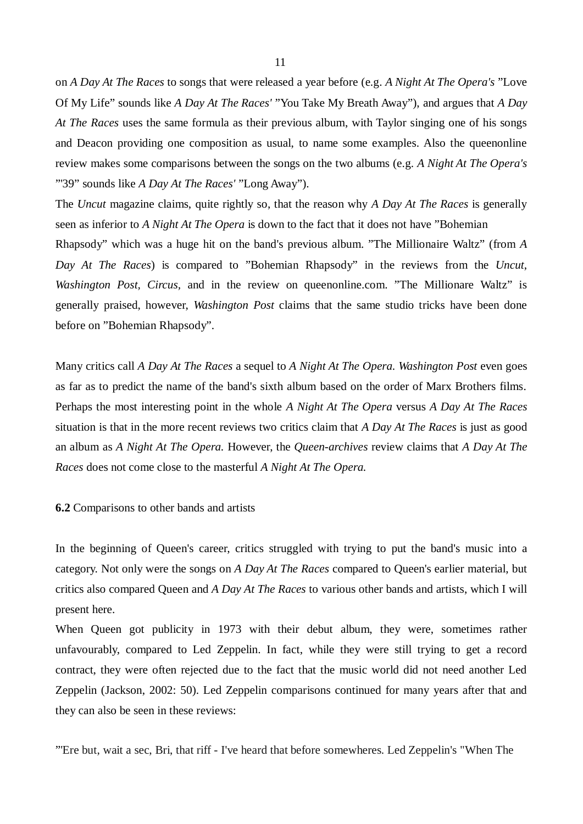on *A Day At The Races* to songs that were released a year before (e.g. *A Night At The Opera's* "Love Of My Life" sounds like *A Day At The Races'* "You Take My Breath Away"), and argues that *A Day At The Races* uses the same formula as their previous album, with Taylor singing one of his songs and Deacon providing one composition as usual, to name some examples. Also the queenonline review makes some comparisons between the songs on the two albums (e.g. *A Night At The Opera's* "'39" sounds like *A Day At The Races'* "Long Away").

The *Uncut* magazine claims, quite rightly so, that the reason why *A Day At The Races* is generally seen as inferior to *A Night At The Opera* is down to the fact that it does not have "Bohemian Rhapsody" which was a huge hit on the band's previous album. "The Millionaire Waltz" (from *A Day At The Races*) is compared to "Bohemian Rhapsody" in the reviews from the *Uncut*, *Washington Post, Circus,* and in the review on queenonline.com. "The Millionare Waltz" is generally praised, however, *Washington Post* claims that the same studio tricks have been done before on "Bohemian Rhapsody".

Many critics call *A Day At The Races* a sequel to *A Night At The Opera. Washington Post* even goes as far as to predict the name of the band's sixth album based on the order of Marx Brothers films. Perhaps the most interesting point in the whole *A Night At The Opera* versus *A Day At The Races* situation is that in the more recent reviews two critics claim that *A Day At The Races* is just as good an album as *A Night At The Opera.* However, the *Queen-archives* review claims that *A Day At The Races* does not come close to the masterful *A Night At The Opera.*

**6.2** Comparisons to other bands and artists

In the beginning of Queen's career, critics struggled with trying to put the band's music into a category. Not only were the songs on *A Day At The Races* compared to Queen's earlier material, but critics also compared Queen and *A Day At The Races* to various other bands and artists, which I will present here.

When Queen got publicity in 1973 with their debut album, they were, sometimes rather unfavourably, compared to Led Zeppelin. In fact, while they were still trying to get a record contract, they were often rejected due to the fact that the music world did not need another Led Zeppelin (Jackson, 2002: 50). Led Zeppelin comparisons continued for many years after that and they can also be seen in these reviews:

"'Ere but, wait a sec, Bri, that riff - I've heard that before somewheres. Led Zeppelin's "When The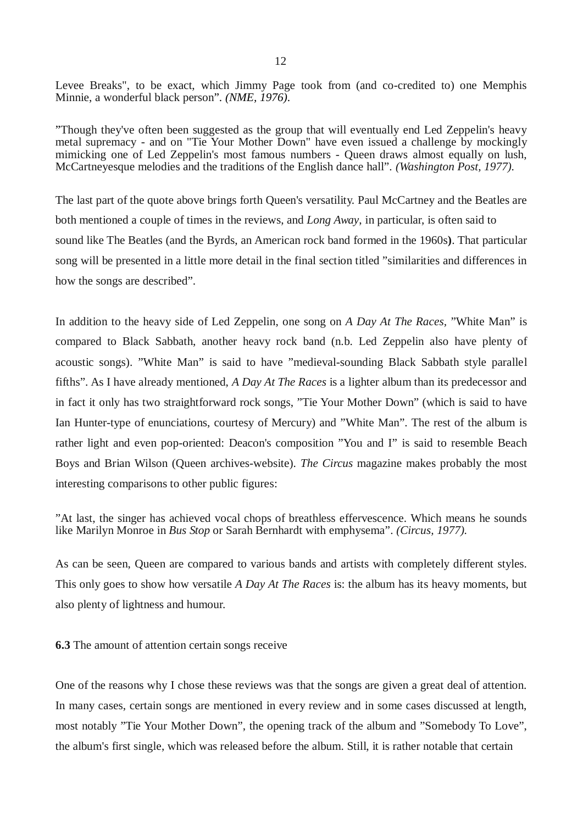Levee Breaks", to be exact, which Jimmy Page took from (and co-credited to) one Memphis Minnie, a wonderful black person". *(NME, 1976).*

"Though they've often been suggested as the group that will eventually end Led Zeppelin's heavy metal supremacy - and on "Tie Your Mother Down" have even issued a challenge by mockingly mimicking one of Led Zeppelin's most famous numbers - Queen draws almost equally on lush, McCartneyesque melodies and the traditions of the English dance hall". *(Washington Post, 1977).*

The last part of the quote above brings forth Queen's versatility. Paul McCartney and the Beatles are both mentioned a couple of times in the reviews, and *Long Away*, in particular, is often said to sound like The Beatles (and the Byrds, an American rock band formed in the 1960s**)**. That particular song will be presented in a little more detail in the final section titled "similarities and differences in how the songs are described".

In addition to the heavy side of Led Zeppelin, one song on *A Day At The Races,* "White Man" is compared to Black Sabbath, another heavy rock band (n.b. Led Zeppelin also have plenty of acoustic songs). "White Man" is said to have "medieval-sounding Black Sabbath style parallel fifths". As I have already mentioned, *A Day At The Races* is a lighter album than its predecessor and in fact it only has two straightforward rock songs, "Tie Your Mother Down" (which is said to have Ian Hunter-type of enunciations, courtesy of Mercury) and "White Man". The rest of the album is rather light and even pop-oriented: Deacon's composition "You and I" is said to resemble Beach Boys and Brian Wilson (Queen archives-website). *The Circus* magazine makes probably the most interesting comparisons to other public figures:

"At last, the singer has achieved vocal chops of breathless effervescence. Which means he sounds like Marilyn Monroe in *Bus Stop* or Sarah Bernhardt with emphysema". *(Circus, 1977).*

As can be seen, Queen are compared to various bands and artists with completely different styles. This only goes to show how versatile *A Day At The Races* is: the album has its heavy moments, but also plenty of lightness and humour.

**6.3** The amount of attention certain songs receive

One of the reasons why I chose these reviews was that the songs are given a great deal of attention. In many cases, certain songs are mentioned in every review and in some cases discussed at length, most notably "Tie Your Mother Down", the opening track of the album and "Somebody To Love", the album's first single, which was released before the album. Still, it is rather notable that certain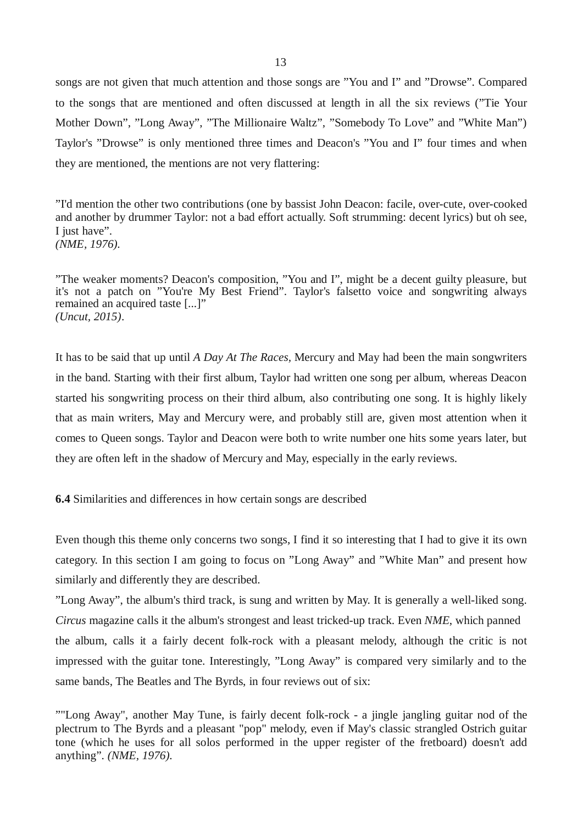songs are not given that much attention and those songs are "You and I" and "Drowse". Compared to the songs that are mentioned and often discussed at length in all the six reviews ("Tie Your Mother Down", "Long Away", "The Millionaire Waltz", "Somebody To Love" and "White Man") Taylor's "Drowse" is only mentioned three times and Deacon's "You and I" four times and when they are mentioned, the mentions are not very flattering:

"I'd mention the other two contributions (one by bassist John Deacon: facile, over-cute, over-cooked and another by drummer Taylor: not a bad effort actually. Soft strumming: decent lyrics) but oh see, I just have". *(NME, 1976).*

"The weaker moments? Deacon's composition, "You and I", might be a decent guilty pleasure, but it's not a patch on "You're My Best Friend". Taylor's falsetto voice and songwriting always remained an acquired taste [...]" *(Uncut, 2015)*.

It has to be said that up until *A Day At The Races,* Mercury and May had been the main songwriters in the band. Starting with their first album, Taylor had written one song per album, whereas Deacon started his songwriting process on their third album, also contributing one song. It is highly likely that as main writers, May and Mercury were, and probably still are, given most attention when it comes to Queen songs. Taylor and Deacon were both to write number one hits some years later, but they are often left in the shadow of Mercury and May, especially in the early reviews.

**6.4** Similarities and differences in how certain songs are described

Even though this theme only concerns two songs, I find it so interesting that I had to give it its own category. In this section I am going to focus on "Long Away" and "White Man" and present how similarly and differently they are described.

"Long Away", the album's third track, is sung and written by May. It is generally a well-liked song. *Circus* magazine calls it the album's strongest and least tricked-up track. Even *NME*, which panned the album, calls it a fairly decent folk-rock with a pleasant melody, although the critic is not impressed with the guitar tone. Interestingly, "Long Away" is compared very similarly and to the same bands, The Beatles and The Byrds, in four reviews out of six:

<sup>&</sup>quot;"Long Away", another May Tune, is fairly decent folk-rock - a jingle jangling guitar nod of the plectrum to The Byrds and a pleasant "pop" melody, even if May's classic strangled Ostrich guitar tone (which he uses for all solos performed in the upper register of the fretboard) doesn't add anything". *(NME, 1976).*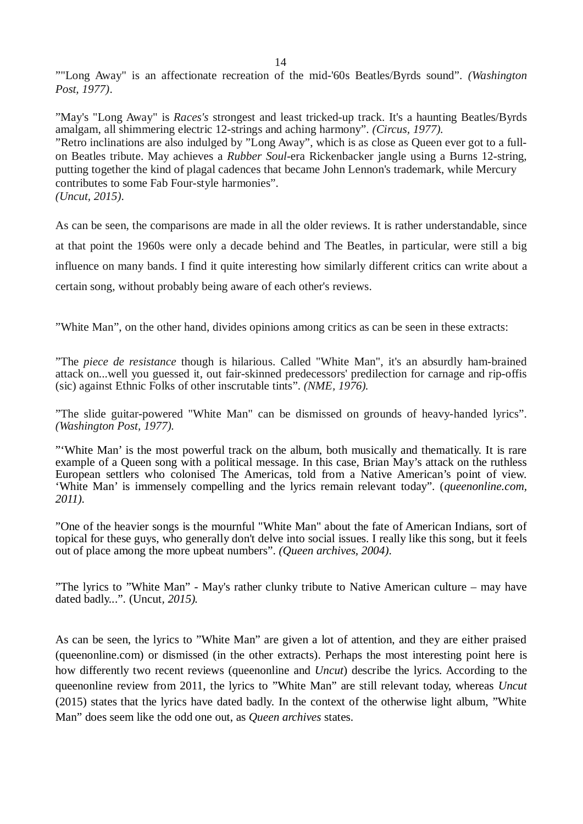""Long Away" is an affectionate recreation of the mid-'60s Beatles/Byrds sound". *(Washington Post, 1977)*.

"May's "Long Away" is *Races's* strongest and least tricked-up track. It's a haunting Beatles/Byrds amalgam, all shimmering electric 12-strings and aching harmony". *(Circus, 1977).* "Retro inclinations are also indulged by "Long Away", which is as close as Queen ever got to a fullon Beatles tribute. May achieves a *Rubber Soul-*era Rickenbacker jangle using a Burns 12-string, putting together the kind of plagal cadences that became John Lennon's trademark, while Mercury contributes to some Fab Four-style harmonies". *(Uncut, 2015).*

As can be seen, the comparisons are made in all the older reviews. It is rather understandable, since at that point the 1960s were only a decade behind and The Beatles, in particular, were still a big influence on many bands. I find it quite interesting how similarly different critics can write about a certain song, without probably being aware of each other's reviews.

"White Man", on the other hand, divides opinions among critics as can be seen in these extracts:

"The *piece de resistance* though is hilarious. Called "White Man", it's an absurdly ham-brained attack on...well you guessed it, out fair-skinned predecessors' predilection for carnage and rip-offis (sic) against Ethnic Folks of other inscrutable tints". *(NME, 1976).*

"The slide guitar-powered "White Man" can be dismissed on grounds of heavy-handed lyrics". *(Washington Post, 1977).*

"'White Man' is the most powerful track on the album, both musically and thematically. It is rare example of a Queen song with a political message. In this case, Brian May's attack on the ruthless European settlers who colonised The Americas, told from a Native American's point of view. 'White Man' is immensely compelling and the lyrics remain relevant today". (*queenonline.com, 2011).*

"One of the heavier songs is the mournful "White Man" about the fate of American Indians, sort of topical for these guys, who generally don't delve into social issues. I really like this song, but it feels out of place among the more upbeat numbers". *(Queen archives, 2004).*

"The lyrics to "White Man" - May's rather clunky tribute to Native American culture – may have dated badly...". (Uncut*, 2015).*

As can be seen, the lyrics to "White Man" are given a lot of attention, and they are either praised (queenonline.com) or dismissed (in the other extracts). Perhaps the most interesting point here is how differently two recent reviews (queenonline and *Uncut*) describe the lyrics. According to the queenonline review from 2011, the lyrics to "White Man" are still relevant today, whereas *Uncut* (2015) states that the lyrics have dated badly. In the context of the otherwise light album, "White Man" does seem like the odd one out, as *Queen archives* states.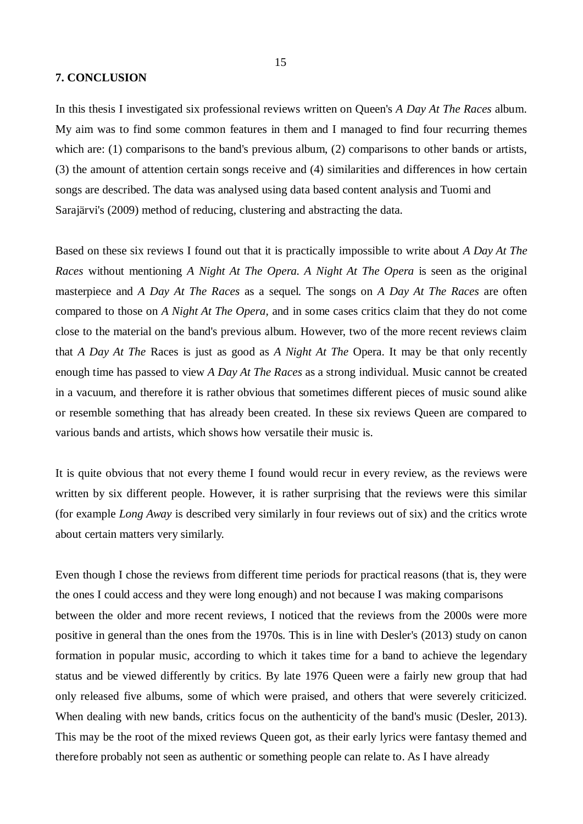#### **7. CONCLUSION**

In this thesis I investigated six professional reviews written on Queen's *A Day At The Races* album. My aim was to find some common features in them and I managed to find four recurring themes which are: (1) comparisons to the band's previous album, (2) comparisons to other bands or artists, (3) the amount of attention certain songs receive and (4) similarities and differences in how certain songs are described. The data was analysed using data based content analysis and Tuomi and Sarajärvi's (2009) method of reducing, clustering and abstracting the data.

Based on these six reviews I found out that it is practically impossible to write about *A Day At The Races* without mentioning *A Night At The Opera. A Night At The Opera* is seen as the original masterpiece and *A Day At The Races* as a sequel. The songs on *A Day At The Races* are often compared to those on *A Night At The Opera,* and in some cases critics claim that they do not come close to the material on the band's previous album. However, two of the more recent reviews claim that *A Day At The* Races is just as good as *A Night At The* Opera. It may be that only recently enough time has passed to view *A Day At The Races* as a strong individual. Music cannot be created in a vacuum, and therefore it is rather obvious that sometimes different pieces of music sound alike or resemble something that has already been created. In these six reviews Queen are compared to various bands and artists, which shows how versatile their music is.

It is quite obvious that not every theme I found would recur in every review, as the reviews were written by six different people. However, it is rather surprising that the reviews were this similar (for example *Long Away* is described very similarly in four reviews out of six) and the critics wrote about certain matters very similarly.

Even though I chose the reviews from different time periods for practical reasons (that is, they were the ones I could access and they were long enough) and not because I was making comparisons between the older and more recent reviews, I noticed that the reviews from the 2000s were more positive in general than the ones from the 1970s. This is in line with Desler's (2013) study on canon formation in popular music, according to which it takes time for a band to achieve the legendary status and be viewed differently by critics. By late 1976 Queen were a fairly new group that had only released five albums, some of which were praised, and others that were severely criticized. When dealing with new bands, critics focus on the authenticity of the band's music (Desler, 2013). This may be the root of the mixed reviews Queen got, as their early lyrics were fantasy themed and therefore probably not seen as authentic or something people can relate to. As I have already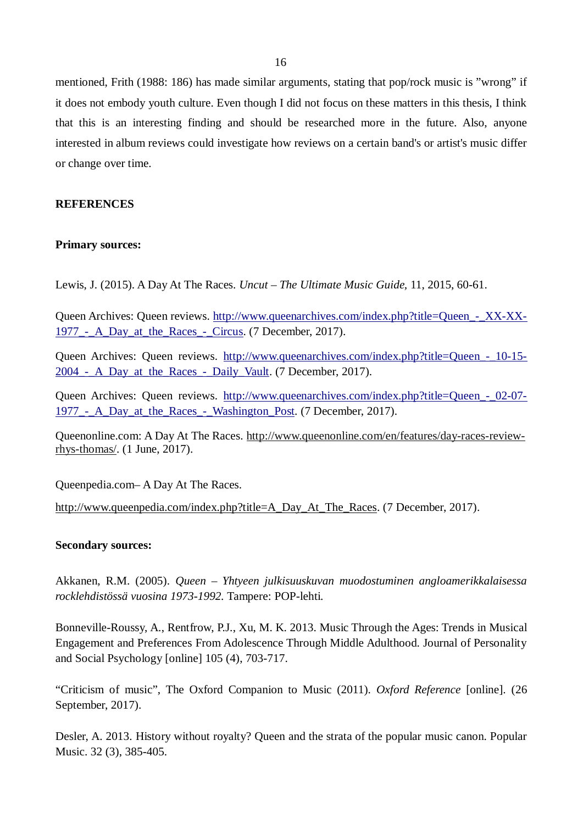mentioned, Frith (1988: 186) has made similar arguments, stating that pop/rock music is "wrong" if it does not embody youth culture. Even though I did not focus on these matters in this thesis, I think that this is an interesting finding and should be researched more in the future. Also, anyone interested in album reviews could investigate how reviews on a certain band's or artist's music differ or change over time.

# **REFERENCES**

## **Primary sources:**

Lewis, J. (2015). A Day At The Races. *Uncut – The Ultimate Music Guide,* 11, 2015, 60-61.

Queen Archives: Queen reviews. http://www.queenarchives.com/index.php?title=Queen - XX-XX-[1977\\_-\\_A\\_Day\\_at\\_the\\_Races\\_-\\_Circus.](http://www.queenarchives.com/index.php?title=Queen_-_XX-XX-1977_-_A_Day_at_the_Races_-_Circus) (7 December, 2017).

Queen Archives: Queen reviews. http://www.queenarchives.com/index.php?title=Queen - 10-15-2004 - A Day at the Races - Daily Vault. (7 December, 2017).

Queen Archives: Queen reviews. [http://www.queenarchives.com/index.php?title=Queen\\_-\\_02-07-](http://www.queenarchives.com/index.php?title=Queen_-_02-07-1977_-_A_Day_at_the_Races_-_Washington_Post) 1977<sub>-</sub> A\_Day\_at\_the\_Races\_-\_Washington\_Post. (7 December, 2017).

Queenonline.com: A Day At The Races. [http://www.queenonline.com/en/features/day-races-review](http://www.queenonline.com/en/features/day-races-review-rhys-thomas/)[rhys-thomas/.](http://www.queenonline.com/en/features/day-races-review-rhys-thomas/) (1 June, 2017).

Queenpedia.com– A Day At The Races.

[http://www.queenpedia.com/index.php?title=A\\_Day\\_At\\_The\\_Races.](http://www.queenpedia.com/index.php?title=A_Day_At_The_Races) (7 December, 2017).

## **Secondary sources:**

Akkanen, R.M. (2005). *Queen – Yhtyeen julkisuuskuvan muodostuminen angloamerikkalaisessa rocklehdistössä vuosina 1973-1992.* Tampere: POP-lehti.

Bonneville-Roussy, A., Rentfrow, P.J., Xu, M. K. 2013. Music Through the Ages: Trends in Musical Engagement and Preferences From Adolescence Through Middle Adulthood. Journal of Personality and Social Psychology [online] 105 (4), 703-717.

"Criticism of music", The Oxford Companion to Music (2011). *Oxford Reference* [online]. (26 September, 2017).

Desler, A. 2013. History without royalty? Queen and the strata of the popular music canon. Popular Music. 32 (3), 385-405.